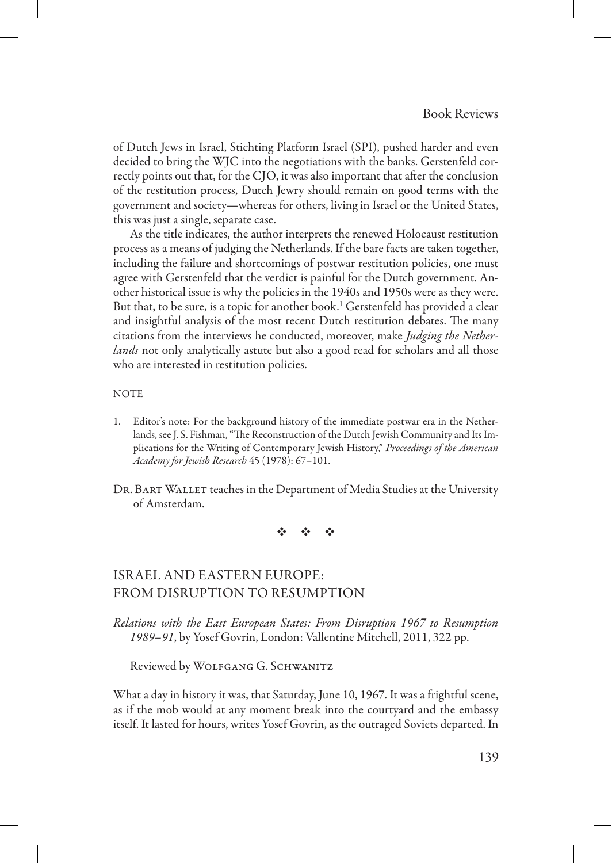of Dutch Jews in Israel, Stichting Platform Israel (SPI), pushed harder and even decided to bring the WJC into the negotiations with the banks. Gerstenfeld correctly points out that, for the CJO, it was also important that after the conclusion of the restitution process, Dutch Jewry should remain on good terms with the government and society—whereas for others, living in Israel or the United States, this was just a single, separate case.

As the title indicates, the author interprets the renewed Holocaust restitution process as a means of judging the Netherlands. If the bare facts are taken together, including the failure and shortcomings of postwar restitution policies, one must agree with Gerstenfeld that the verdict is painful for the Dutch government. Another historical issue is why the policies in the 1940s and 1950s were as they were. But that, to be sure, is a topic for another book.<sup>1</sup> Gerstenfeld has provided a clear and insightful analysis of the most recent Dutch restitution debates. The many citations from the interviews he conducted, moreover, make *Judging the Netherlands* not only analytically astute but also a good read for scholars and all those who are interested in restitution policies.

## **NOTE**

- 1. Editor's note: For the background history of the immediate postwar era in the Netherlands, see J. S. Fishman, "The Reconstruction of the Dutch Jewish Community and Its Implications for the Writing of Contemporary Jewish History," *Proceedings of the American Academy for Jewish Research* 45 (1978): 67–101.
- DR. BART WALLET teaches in the Department of Media Studies at the University of Amsterdam.

※ ※ ※

# Israel and Eastern Europe: From Disruption to Resumption

*Relations with the East European States: From Disruption 1967 to Resumption 1989–91*, by Yosef Govrin, London: Vallentine Mitchell, 2011, 322 pp.

Reviewed by Wolfgang G. Schwanitz

What a day in history it was, that Saturday, June 10, 1967. It was a frightful scene, as if the mob would at any moment break into the courtyard and the embassy itself. It lasted for hours, writes Yosef Govrin, as the outraged Soviets departed. In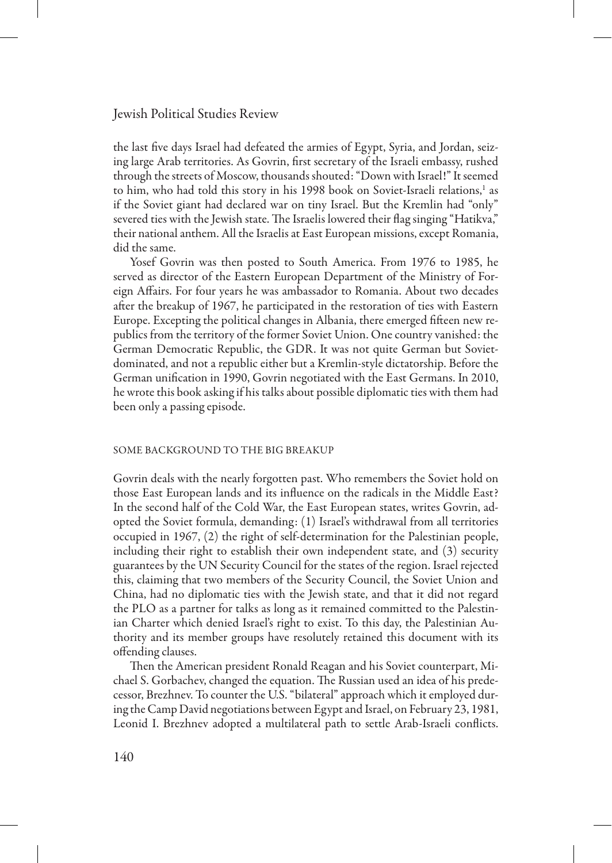the last five days Israel had defeated the armies of Egypt, Syria, and Jordan, seizing large Arab territories. As Govrin, first secretary of the Israeli embassy, rushed through the streets of Moscow, thousands shouted: "Down with Israel!" It seemed to him, who had told this story in his 1998 book on Soviet-Israeli relations,<sup>1</sup> as if the Soviet giant had declared war on tiny Israel. But the Kremlin had "only" severed ties with the Jewish state. The Israelis lowered their flag singing "Hatikva," their national anthem. All the Israelis at East European missions, except Romania, did the same.

Yosef Govrin was then posted to South America. From 1976 to 1985, he served as director of the Eastern European Department of the Ministry of Foreign Affairs. For four years he was ambassador to Romania. About two decades after the breakup of 1967, he participated in the restoration of ties with Eastern Europe. Excepting the political changes in Albania, there emerged fifteen new republics from the territory of the former Soviet Union. One country vanished: the German Democratic Republic, the GDR. It was not quite German but Sovietdominated, and not a republic either but a Kremlin-style dictatorship. Before the German unification in 1990, Govrin negotiated with the East Germans. In 2010, he wrote this book asking if his talks about possible diplomatic ties with them had been only a passing episode.

#### Some Background to the Big Breakup

Govrin deals with the nearly forgotten past. Who remembers the Soviet hold on those East European lands and its influence on the radicals in the Middle East? In the second half of the Cold War, the East European states, writes Govrin, adopted the Soviet formula, demanding: (1) Israel's withdrawal from all territories occupied in 1967, (2) the right of self-determination for the Palestinian people, including their right to establish their own independent state, and (3) security guarantees by the UN Security Council for the states of the region. Israel rejected this, claiming that two members of the Security Council, the Soviet Union and China, had no diplomatic ties with the Jewish state, and that it did not regard the PLO as a partner for talks as long as it remained committed to the Palestinian Charter which denied Israel's right to exist. To this day, the Palestinian Authority and its member groups have resolutely retained this document with its offending clauses.

Then the American president Ronald Reagan and his Soviet counterpart, Michael S. Gorbachev, changed the equation. The Russian used an idea of his predecessor, Brezhnev. To counter the U.S. "bilateral" approach which it employed during the Camp David negotiations between Egypt and Israel, on February 23, 1981, Leonid I. Brezhnev adopted a multilateral path to settle Arab-Israeli conflicts.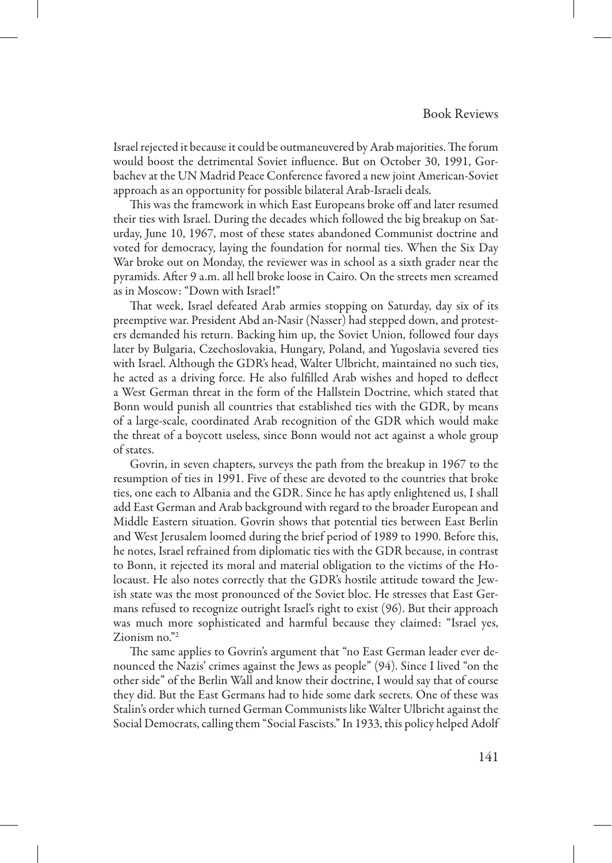Israel rejected it because it could be outmaneuvered by Arab majorities. The forum would boost the detrimental Soviet influence. But on October 30, 1991, Gorbachev at the UN Madrid Peace Conference favored a new joint American-Soviet approach as an opportunity for possible bilateral Arab-Israeli deals.

This was the framework in which East Europeans broke off and later resumed their ties with Israel. During the decades which followed the big breakup on Saturday, June 10, 1967, most of these states abandoned Communist doctrine and voted for democracy, laying the foundation for normal ties. When the Six Day War broke out on Monday, the reviewer was in school as a sixth grader near the pyramids. After 9 a.m. all hell broke loose in Cairo. On the streets men screamed as in Moscow: "Down with Israel!"

That week, Israel defeated Arab armies stopping on Saturday, day six of its preemptive war. President Abd an-Nasir (Nasser) had stepped down, and protesters demanded his return. Backing him up, the Soviet Union, followed four days later by Bulgaria, Czechoslovakia, Hungary, Poland, and Yugoslavia severed ties with Israel. Although the GDR's head, Walter Ulbricht, maintained no such ties, he acted as a driving force. He also fulfilled Arab wishes and hoped to deflect a West German threat in the form of the Hallstein Doctrine, which stated that Bonn would punish all countries that established ties with the GDR, by means of a large-scale, coordinated Arab recognition of the GDR which would make the threat of a boycott useless, since Bonn would not act against a whole group of states.

Govrin, in seven chapters, surveys the path from the breakup in 1967 to the resumption of ties in 1991. Five of these are devoted to the countries that broke ties, one each to Albania and the GDR. Since he has aptly enlightened us, I shall add East German and Arab background with regard to the broader European and Middle Eastern situation. Govrin shows that potential ties between East Berlin and West Jerusalem loomed during the brief period of 1989 to 1990. Before this, he notes, Israel refrained from diplomatic ties with the GDR because, in contrast to Bonn, it rejected its moral and material obligation to the victims of the Holocaust. He also notes correctly that the GDR's hostile attitude toward the Jewish state was the most pronounced of the Soviet bloc. He stresses that East Germans refused to recognize outright Israel's right to exist (96). But their approach was much more sophisticated and harmful because they claimed: "Israel yes, Zionism no."2

The same applies to Govrin's argument that "no East German leader ever denounced the Nazis' crimes against the Jews as people" (94). Since I lived "on the other side" of the Berlin Wall and know their doctrine, I would say that of course they did. But the East Germans had to hide some dark secrets. One of these was Stalin's order which turned German Communists like Walter Ulbricht against the Social Democrats, calling them "Social Fascists." In 1933, this policy helped Adolf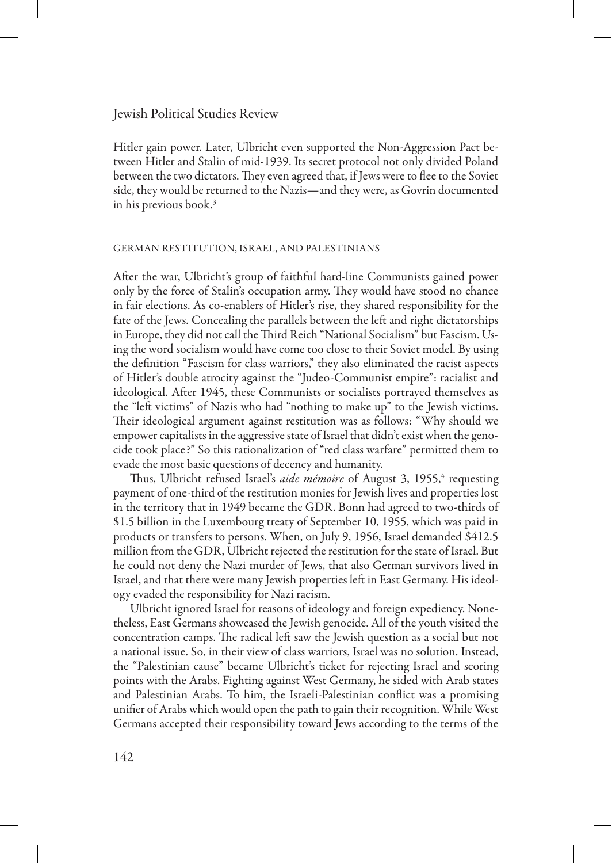Hitler gain power. Later, Ulbricht even supported the Non-Aggression Pact between Hitler and Stalin of mid-1939. Its secret protocol not only divided Poland between the two dictators. They even agreed that, if Jews were to flee to the Soviet side, they would be returned to the Nazis—and they were, as Govrin documented in his previous book.<sup>3</sup>

#### German Restitution, Israel, and Palestinians

After the war, Ulbricht's group of faithful hard-line Communists gained power only by the force of Stalin's occupation army. They would have stood no chance in fair elections. As co-enablers of Hitler's rise, they shared responsibility for the fate of the Jews. Concealing the parallels between the left and right dictatorships in Europe, they did not call the Third Reich "National Socialism" but Fascism. Using the word socialism would have come too close to their Soviet model. By using the definition "Fascism for class warriors," they also eliminated the racist aspects of Hitler's double atrocity against the "Judeo-Communist empire": racialist and ideological. After 1945, these Communists or socialists portrayed themselves as the "left victims" of Nazis who had "nothing to make up" to the Jewish victims. Their ideological argument against restitution was as follows: "Why should we empower capitalists in the aggressive state of Israel that didn't exist when the genocide took place?" So this rationalization of "red class warfare" permitted them to evade the most basic questions of decency and humanity.

Thus, Ulbricht refused Israel's *aide mémoire* of August 3, 1955,<sup>4</sup> requesting payment of one-third of the restitution monies for Jewish lives and properties lost in the territory that in 1949 became the GDR. Bonn had agreed to two-thirds of \$1.5 billion in the Luxembourg treaty of September 10, 1955, which was paid in products or transfers to persons. When, on July 9, 1956, Israel demanded \$412.5 million from the GDR, Ulbricht rejected the restitution for the state of Israel. But he could not deny the Nazi murder of Jews, that also German survivors lived in Israel, and that there were many Jewish properties left in East Germany. His ideology evaded the responsibility for Nazi racism.

Ulbricht ignored Israel for reasons of ideology and foreign expediency. Nonetheless, East Germans showcased the Jewish genocide. All of the youth visited the concentration camps. The radical left saw the Jewish question as a social but not a national issue. So, in their view of class warriors, Israel was no solution. Instead, the "Palestinian cause" became Ulbricht's ticket for rejecting Israel and scoring points with the Arabs. Fighting against West Germany, he sided with Arab states and Palestinian Arabs. To him, the Israeli-Palestinian conflict was a promising unifier of Arabs which would open the path to gain their recognition. While West Germans accepted their responsibility toward Jews according to the terms of the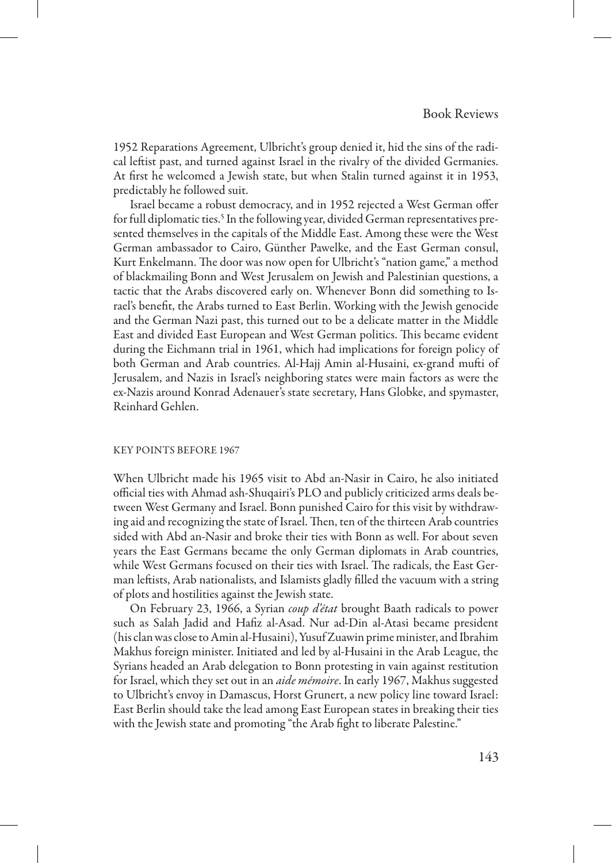1952 Reparations Agreement, Ulbricht's group denied it, hid the sins of the radical leftist past, and turned against Israel in the rivalry of the divided Germanies. At first he welcomed a Jewish state, but when Stalin turned against it in 1953, predictably he followed suit.

Israel became a robust democracy, and in 1952 rejected a West German offer for full diplomatic ties.<sup>5</sup> In the following year, divided German representatives presented themselves in the capitals of the Middle East. Among these were the West German ambassador to Cairo, Günther Pawelke, and the East German consul, Kurt Enkelmann. The door was now open for Ulbricht's "nation game," a method of blackmailing Bonn and West Jerusalem on Jewish and Palestinian questions, a tactic that the Arabs discovered early on. Whenever Bonn did something to Israel's benefit, the Arabs turned to East Berlin. Working with the Jewish genocide and the German Nazi past, this turned out to be a delicate matter in the Middle East and divided East European and West German politics. This became evident during the Eichmann trial in 1961, which had implications for foreign policy of both German and Arab countries. Al-Hajj Amin al-Husaini, ex-grand mufti of Jerusalem, and Nazis in Israel's neighboring states were main factors as were the ex-Nazis around Konrad Adenauer's state secretary, Hans Globke, and spymaster, Reinhard Gehlen.

#### Key Points before 1967

When Ulbricht made his 1965 visit to Abd an-Nasir in Cairo, he also initiated official ties with Ahmad ash-Shuqairi's PLO and publicly criticized arms deals between West Germany and Israel. Bonn punished Cairo for this visit by withdrawing aid and recognizing the state of Israel. Then, ten of the thirteen Arab countries sided with Abd an-Nasir and broke their ties with Bonn as well. For about seven years the East Germans became the only German diplomats in Arab countries, while West Germans focused on their ties with Israel. The radicals, the East German leftists, Arab nationalists, and Islamists gladly filled the vacuum with a string of plots and hostilities against the Jewish state.

On February 23, 1966, a Syrian *coup d'état* brought Baath radicals to power such as Salah Jadid and Hafiz al-Asad. Nur ad-Din al-Atasi became president (his clan was close to Amin al-Husaini), Yusuf Zuawin prime minister, and Ibrahim Makhus foreign minister. Initiated and led by al-Husaini in the Arab League, the Syrians headed an Arab delegation to Bonn protesting in vain against restitution for Israel, which they set out in an *aide mémoire*. In early 1967, Makhus suggested to Ulbricht's envoy in Damascus, Horst Grunert, a new policy line toward Israel: East Berlin should take the lead among East European states in breaking their ties with the Jewish state and promoting "the Arab fight to liberate Palestine."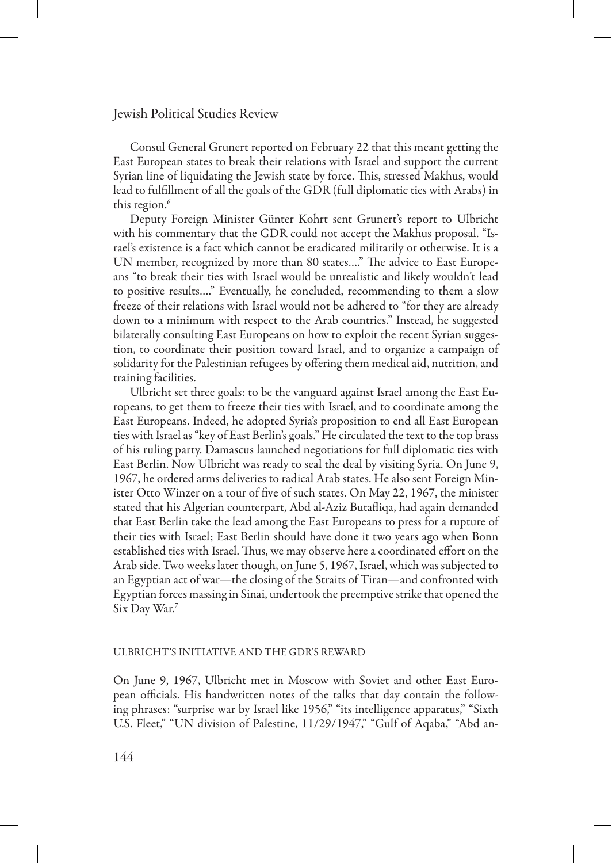Consul General Grunert reported on February 22 that this meant getting the East European states to break their relations with Israel and support the current Syrian line of liquidating the Jewish state by force. This, stressed Makhus, would lead to fulfillment of all the goals of the GDR (full diplomatic ties with Arabs) in this region.<sup>6</sup>

Deputy Foreign Minister Günter Kohrt sent Grunert's report to Ulbricht with his commentary that the GDR could not accept the Makhus proposal. "Israel's existence is a fact which cannot be eradicated militarily or otherwise. It is a UN member, recognized by more than 80 states…." The advice to East Europeans "to break their ties with Israel would be unrealistic and likely wouldn't lead to positive results…." Eventually, he concluded, recommending to them a slow freeze of their relations with Israel would not be adhered to "for they are already down to a minimum with respect to the Arab countries." Instead, he suggested bilaterally consulting East Europeans on how to exploit the recent Syrian suggestion, to coordinate their position toward Israel, and to organize a campaign of solidarity for the Palestinian refugees by offering them medical aid, nutrition, and training facilities.

Ulbricht set three goals: to be the vanguard against Israel among the East Europeans, to get them to freeze their ties with Israel, and to coordinate among the East Europeans. Indeed, he adopted Syria's proposition to end all East European ties with Israel as "key of East Berlin's goals." He circulated the text to the top brass of his ruling party. Damascus launched negotiations for full diplomatic ties with East Berlin. Now Ulbricht was ready to seal the deal by visiting Syria. On June 9, 1967, he ordered arms deliveries to radical Arab states. He also sent Foreign Minister Otto Winzer on a tour of five of such states. On May 22, 1967, the minister stated that his Algerian counterpart, Abd al-Aziz Butafliqa, had again demanded that East Berlin take the lead among the East Europeans to press for a rupture of their ties with Israel; East Berlin should have done it two years ago when Bonn established ties with Israel. Thus, we may observe here a coordinated effort on the Arab side. Two weeks later though, on June 5, 1967, Israel, which was subjected to an Egyptian act of war—the closing of the Straits of Tiran—and confronted with Egyptian forces massing in Sinai, undertook the preemptive strike that opened the Six Day War.7

### Ulbricht's Initiative and the GDR's Reward

On June 9, 1967, Ulbricht met in Moscow with Soviet and other East European officials. His handwritten notes of the talks that day contain the following phrases: "surprise war by Israel like 1956," "its intelligence apparatus," "Sixth U.S. Fleet," "UN division of Palestine, 11/29/1947," "Gulf of Aqaba," "Abd an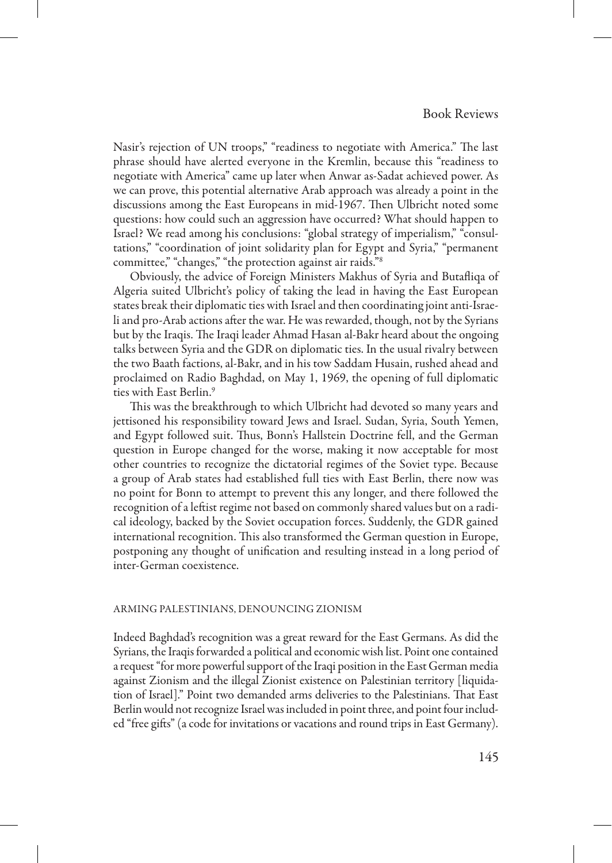Nasir's rejection of UN troops," "readiness to negotiate with America." The last phrase should have alerted everyone in the Kremlin, because this "readiness to negotiate with America" came up later when Anwar as-Sadat achieved power. As we can prove, this potential alternative Arab approach was already a point in the discussions among the East Europeans in mid-1967. Then Ulbricht noted some questions: how could such an aggression have occurred? What should happen to Israel? We read among his conclusions: "global strategy of imperialism," "consultations," "coordination of joint solidarity plan for Egypt and Syria," "permanent committee," "changes," "the protection against air raids."8

Obviously, the advice of Foreign Ministers Makhus of Syria and Butafliqa of Algeria suited Ulbricht's policy of taking the lead in having the East European states break their diplomatic ties with Israel and then coordinating joint anti-Israeli and pro-Arab actions after the war. He was rewarded, though, not by the Syrians but by the Iraqis. The Iraqi leader Ahmad Hasan al-Bakr heard about the ongoing talks between Syria and the GDR on diplomatic ties. In the usual rivalry between the two Baath factions, al-Bakr, and in his tow Saddam Husain, rushed ahead and proclaimed on Radio Baghdad, on May 1, 1969, the opening of full diplomatic ties with East Berlin.9

This was the breakthrough to which Ulbricht had devoted so many years and jettisoned his responsibility toward Jews and Israel. Sudan, Syria, South Yemen, and Egypt followed suit. Thus, Bonn's Hallstein Doctrine fell, and the German question in Europe changed for the worse, making it now acceptable for most other countries to recognize the dictatorial regimes of the Soviet type. Because a group of Arab states had established full ties with East Berlin, there now was no point for Bonn to attempt to prevent this any longer, and there followed the recognition of a leftist regime not based on commonly shared values but on a radical ideology, backed by the Soviet occupation forces. Suddenly, the GDR gained international recognition. This also transformed the German question in Europe, postponing any thought of unification and resulting instead in a long period of inter-German coexistence.

#### Arming Palestinians, Denouncing Zionism

Indeed Baghdad's recognition was a great reward for the East Germans. As did the Syrians, the Iraqis forwarded a political and economic wish list. Point one contained a request "for more powerful support of the Iraqi position in the East German media against Zionism and the illegal Zionist existence on Palestinian territory [liquidation of Israel]." Point two demanded arms deliveries to the Palestinians. That East Berlin would not recognize Israel was included in point three, and point four included "free gifts" (a code for invitations or vacations and round trips in East Germany).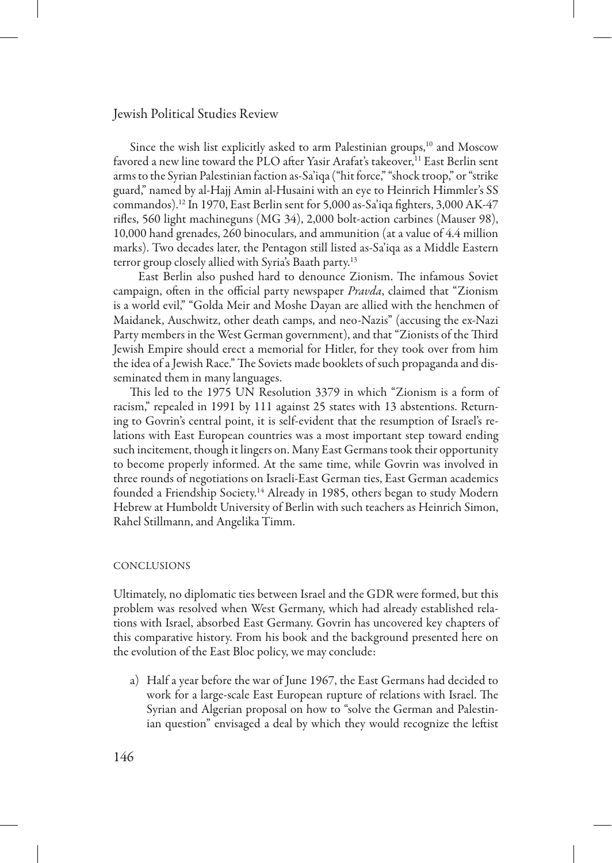Since the wish list explicitly asked to arm Palestinian groups, $10$  and Moscow favored a new line toward the PLO after Yasir Arafat's takeover,<sup>11</sup> East Berlin sent arms to the Syrian Palestinian faction as-Sa'iqa ("hit force," "shock troop," or "strike guard," named by al-Hajj Amin al-Husaini with an eye to Heinrich Himmler's SS commandos).12 In 1970, East Berlin sent for 5,000 as-Sa'iqa fighters, 3,000 AK-47 rifles, 560 light machineguns (MG 34), 2,000 bolt-action carbines (Mauser 98), 10,000 hand grenades, 260 binoculars, and ammunition (at a value of 4.4 million marks). Two decades later, the Pentagon still listed as-Sa'iqa as a Middle Eastern terror group closely allied with Syria's Baath party.13

East Berlin also pushed hard to denounce Zionism. The infamous Soviet campaign, often in the official party newspaper *Pravda*, claimed that "Zionism is a world evil," "Golda Meir and Moshe Dayan are allied with the henchmen of Maidanek, Auschwitz, other death camps, and neo-Nazis" (accusing the ex-Nazi Party members in the West German government), and that "Zionists of the Third Jewish Empire should erect a memorial for Hitler, for they took over from him the idea of a Jewish Race." The Soviets made booklets of such propaganda and disseminated them in many languages.

This led to the 1975 UN Resolution 3379 in which "Zionism is a form of racism," repealed in 1991 by 111 against 25 states with 13 abstentions. Returning to Govrin's central point, it is self-evident that the resumption of Israel's relations with East European countries was a most important step toward ending such incitement, though it lingers on. Many East Germans took their opportunity to become properly informed. At the same time, while Govrin was involved in three rounds of negotiations on Israeli-East German ties, East German academics founded a Friendship Society.<sup>14</sup> Already in 1985, others began to study Modern Hebrew at Humboldt University of Berlin with such teachers as Heinrich Simon, Rahel Stillmann, and Angelika Timm.

#### Conclusions

Ultimately, no diplomatic ties between Israel and the GDR were formed, but this problem was resolved when West Germany, which had already established relations with Israel, absorbed East Germany. Govrin has uncovered key chapters of this comparative history. From his book and the background presented here on the evolution of the East Bloc policy, we may conclude:

a) Half a year before the war of June 1967, the East Germans had decided to work for a large-scale East European rupture of relations with Israel. The Syrian and Algerian proposal on how to "solve the German and Palestinian question" envisaged a deal by which they would recognize the leftist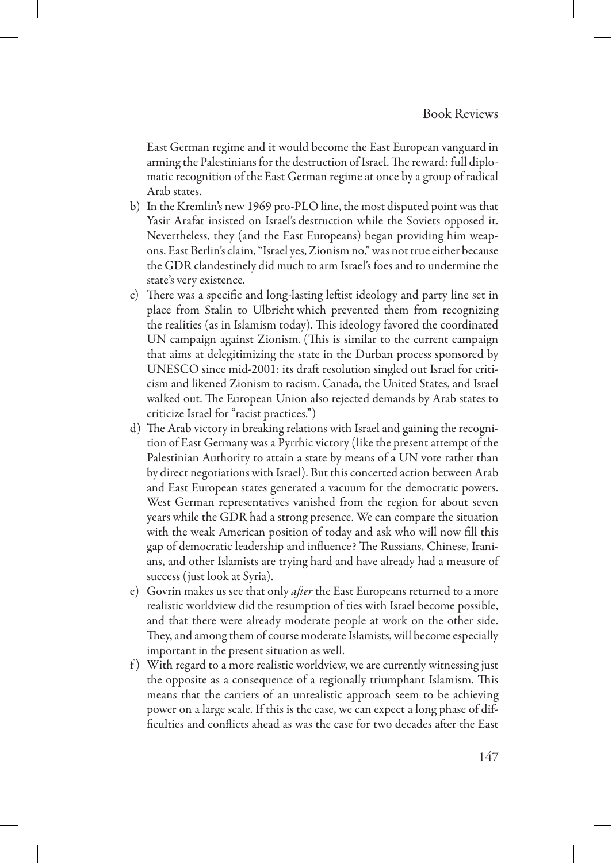East German regime and it would become the East European vanguard in arming the Palestinians for the destruction of Israel. The reward: full diplomatic recognition of the East German regime at once by a group of radical Arab states.

- b) In the Kremlin's new 1969 pro-PLO line, the most disputed point was that Yasir Arafat insisted on Israel's destruction while the Soviets opposed it. Nevertheless, they (and the East Europeans) began providing him weapons. East Berlin's claim, "Israel yes, Zionism no," was not true either because the GDR clandestinely did much to arm Israel's foes and to undermine the state's very existence.
- c) There was a specific and long-lasting leftist ideology and party line set in place from Stalin to Ulbricht which prevented them from recognizing the realities (as in Islamism today). This ideology favored the coordinated UN campaign against Zionism. (This is similar to the current campaign that aims at delegitimizing the state in the Durban process sponsored by UNESCO since mid-2001: its draft resolution singled out Israel for criticism and likened Zionism to racism. Canada, the United States, and Israel walked out. The European Union also rejected demands by Arab states to criticize Israel for "racist practices.")
- d) The Arab victory in breaking relations with Israel and gaining the recognition of East Germany was a Pyrrhic victory (like the present attempt of the Palestinian Authority to attain a state by means of a UN vote rather than by direct negotiations with Israel). But this concerted action between Arab and East European states generated a vacuum for the democratic powers. West German representatives vanished from the region for about seven years while the GDR had a strong presence. We can compare the situation with the weak American position of today and ask who will now fill this gap of democratic leadership and influence? The Russians, Chinese, Iranians, and other Islamists are trying hard and have already had a measure of success (just look at Syria).
- e) Govrin makes us see that only *after* the East Europeans returned to a more realistic worldview did the resumption of ties with Israel become possible, and that there were already moderate people at work on the other side. They, and among them of course moderate Islamists, will become especially important in the present situation as well.
- f ) With regard to a more realistic worldview, we are currently witnessing just the opposite as a consequence of a regionally triumphant Islamism. This means that the carriers of an unrealistic approach seem to be achieving power on a large scale. If this is the case, we can expect a long phase of difficulties and conflicts ahead as was the case for two decades after the East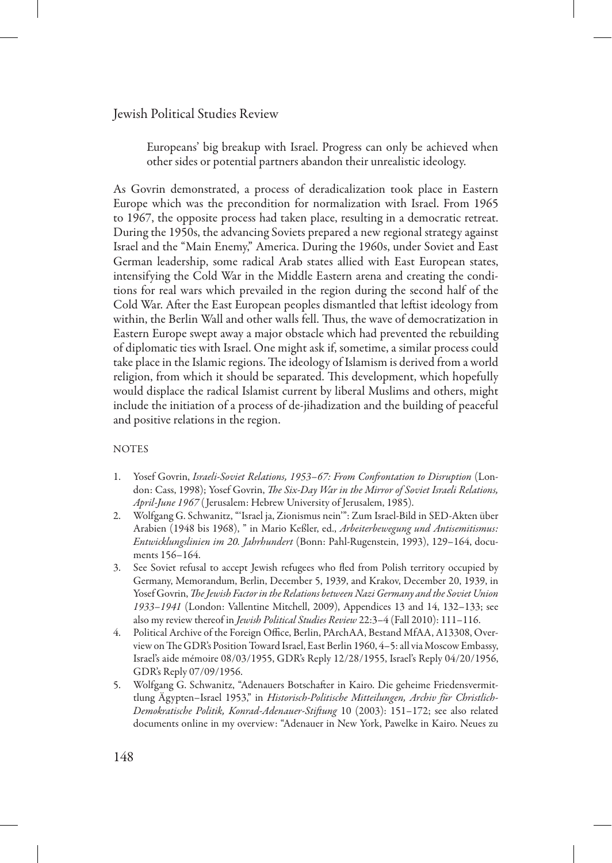Europeans' big breakup with Israel. Progress can only be achieved when other sides or potential partners abandon their unrealistic ideology.

As Govrin demonstrated, a process of deradicalization took place in Eastern Europe which was the precondition for normalization with Israel. From 1965 to 1967, the opposite process had taken place, resulting in a democratic retreat. During the 1950s, the advancing Soviets prepared a new regional strategy against Israel and the "Main Enemy," America. During the 1960s, under Soviet and East German leadership, some radical Arab states allied with East European states, intensifying the Cold War in the Middle Eastern arena and creating the conditions for real wars which prevailed in the region during the second half of the Cold War. After the East European peoples dismantled that leftist ideology from within, the Berlin Wall and other walls fell. Thus, the wave of democratization in Eastern Europe swept away a major obstacle which had prevented the rebuilding of diplomatic ties with Israel. One might ask if, sometime, a similar process could take place in the Islamic regions. The ideology of Islamism is derived from a world religion, from which it should be separated. This development, which hopefully would displace the radical Islamist current by liberal Muslims and others, might include the initiation of a process of de-jihadization and the building of peaceful and positive relations in the region.

### **NOTES**

- 1. Yosef Govrin, *Israeli-Soviet Relations, 1953–67: From Confrontation to Disruption* (London: Cass, 1998); Yosef Govrin, *The Six-Day War in the Mirror of Soviet Israeli Relations, April-June 1967* ( Jerusalem: Hebrew University of Jerusalem, 1985).
- 2. Wolfgang G. Schwanitz, "'Israel ja, Zionismus nein'": Zum Israel-Bild in SED-Akten über Arabien (1948 bis 1968), " in Mario Keßler, ed., *Arbeiterbewegung und Antisemitismus: Entwicklungslinien im 20. Jahrhundert* (Bonn: Pahl-Rugenstein, 1993), 129–164, documents 156–164.
- See Soviet refusal to accept Jewish refugees who fled from Polish territory occupied by Germany, Memorandum, Berlin, December 5, 1939, and Krakov, December 20, 1939, in Yosef Govrin, *The Jewish Factor in the Relations between Nazi Germany and the Soviet Union 1933–1941* (London: Vallentine Mitchell, 2009), Appendices 13 and 14, 132–133; see also my review thereof in *Jewish Political Studies Review* 22:3–4 (Fall 2010): 111–116.
- 4. Political Archive of the Foreign Office, Berlin, PArchAA, Bestand MfAA, A13308, Overview on The GDR's Position Toward Israel, East Berlin 1960, 4–5: all via Moscow Embassy, Israel's aide mémoire 08/03/1955, GDR's Reply 12/28/1955, Israel's Reply 04/20/1956, GDR's Reply 07/09/1956.
- 5. Wolfgang G. Schwanitz, "Adenauers Botschafter in Kairo. Die geheime Friedensvermittlung Ägypten–Israel 1953," in *Historisch-Politische Mitteilungen, Archiv für Christlich-Demokratische Politik, Konrad-Adenauer-Stiftung* 10 (2003): 151–172; see also related documents online in my overview: "Adenauer in New York, Pawelke in Kairo. Neues zu